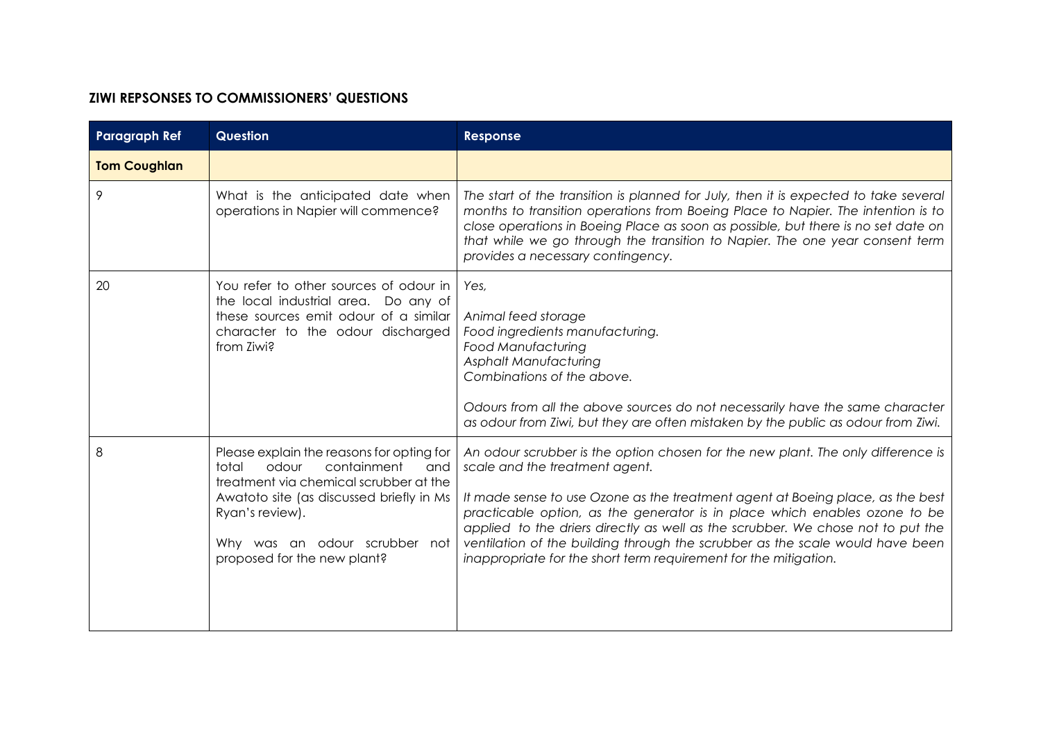## **ZIWI REPSONSES TO COMMISSIONERS' QUESTIONS**

| <b>Paragraph Ref</b> | <b>Question</b>                                                                                                                                                                                                                                            | <b>Response</b>                                                                                                                                                                                                                                                                                                                                                                                                                                                                                                            |
|----------------------|------------------------------------------------------------------------------------------------------------------------------------------------------------------------------------------------------------------------------------------------------------|----------------------------------------------------------------------------------------------------------------------------------------------------------------------------------------------------------------------------------------------------------------------------------------------------------------------------------------------------------------------------------------------------------------------------------------------------------------------------------------------------------------------------|
| <b>Tom Coughlan</b>  |                                                                                                                                                                                                                                                            |                                                                                                                                                                                                                                                                                                                                                                                                                                                                                                                            |
| 9                    | What is the anticipated date when<br>operations in Napier will commence?                                                                                                                                                                                   | The start of the transition is planned for July, then it is expected to take several<br>months to transition operations from Boeing Place to Napier. The intention is to<br>close operations in Boeing Place as soon as possible, but there is no set date on<br>that while we go through the transition to Napier. The one year consent term<br>provides a necessary contingency.                                                                                                                                         |
| 20                   | You refer to other sources of odour in<br>the local industrial area. Do any of<br>these sources emit odour of a similar<br>character to the odour discharged<br>from Ziwi?                                                                                 | Yes,<br>Animal feed storage<br>Food ingredients manufacturing.<br><b>Food Manufacturing</b><br><b>Asphalt Manufacturing</b><br>Combinations of the above.<br>Odours from all the above sources do not necessarily have the same character<br>as odour from Ziwi, but they are often mistaken by the public as odour from Ziwi.                                                                                                                                                                                             |
| 8                    | Please explain the reasons for opting for<br>containment<br>total<br>odour<br>and<br>treatment via chemical scrubber at the<br>Awatoto site (as discussed briefly in Ms<br>Ryan's review).<br>Why was an odour scrubber not<br>proposed for the new plant? | An odour scrubber is the option chosen for the new plant. The only difference is<br>scale and the treatment agent.<br>It made sense to use Ozone as the treatment agent at Boeing place, as the best<br>practicable option, as the generator is in place which enables ozone to be<br>applied to the driers directly as well as the scrubber. We chose not to put the<br>ventilation of the building through the scrubber as the scale would have been<br>inappropriate for the short term requirement for the mitigation. |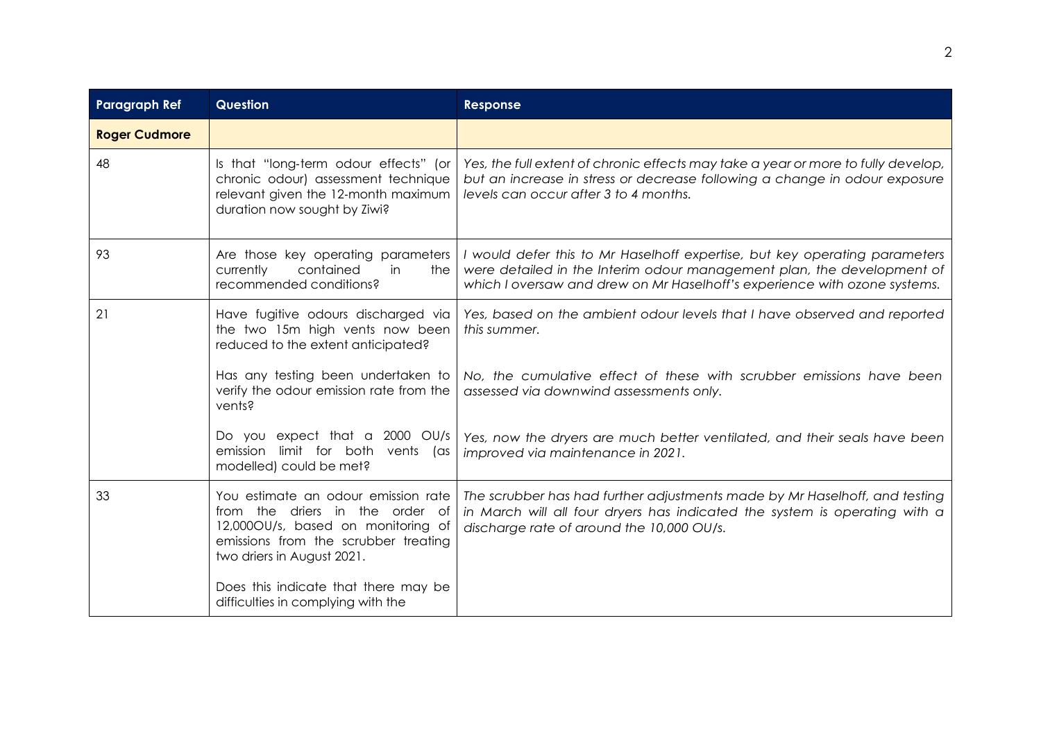| <b>Paragraph Ref</b> | <b>Question</b>                                                                                                                                                                    | Response                                                                                                                                                                                                                          |
|----------------------|------------------------------------------------------------------------------------------------------------------------------------------------------------------------------------|-----------------------------------------------------------------------------------------------------------------------------------------------------------------------------------------------------------------------------------|
| <b>Roger Cudmore</b> |                                                                                                                                                                                    |                                                                                                                                                                                                                                   |
| 48                   | Is that "long-term odour effects" (or<br>chronic odour) assessment technique<br>relevant given the 12-month maximum<br>duration now sought by Ziwi?                                | Yes, the full extent of chronic effects may take a year or more to fully develop,<br>but an increase in stress or decrease following a change in odour exposure<br>levels can occur after 3 to 4 months.                          |
| 93                   | Are those key operating parameters<br>contained<br>currently<br>in<br>the<br>recommended conditions?                                                                               | I would defer this to Mr Haselhoff expertise, but key operating parameters<br>were detailed in the Interim odour management plan, the development of<br>which I oversaw and drew on Mr Haselhoff's experience with ozone systems. |
| 21                   | Have fugitive odours discharged via<br>the two 15m high vents now been<br>reduced to the extent anticipated?                                                                       | Yes, based on the ambient odour levels that I have observed and reported<br>this summer.                                                                                                                                          |
|                      | Has any testing been undertaken to<br>verify the odour emission rate from the<br>vents?                                                                                            | No, the cumulative effect of these with scrubber emissions have been<br>assessed via downwind assessments only.                                                                                                                   |
|                      | Do you expect that a 2000 OU/s<br>emission limit for both vents (as<br>modelled) could be met?                                                                                     | Yes, now the dryers are much better ventilated, and their seals have been<br>improved via maintenance in 2021.                                                                                                                    |
| 33                   | You estimate an odour emission rate<br>from the driers in the order of<br>12,000OU/s, based on monitoring of<br>emissions from the scrubber treating<br>two driers in August 2021. | The scrubber has had further adjustments made by Mr Haselhoff, and testing<br>in March will all four dryers has indicated the system is operating with a<br>discharge rate of around the 10,000 OU/s.                             |
|                      | Does this indicate that there may be<br>difficulties in complying with the                                                                                                         |                                                                                                                                                                                                                                   |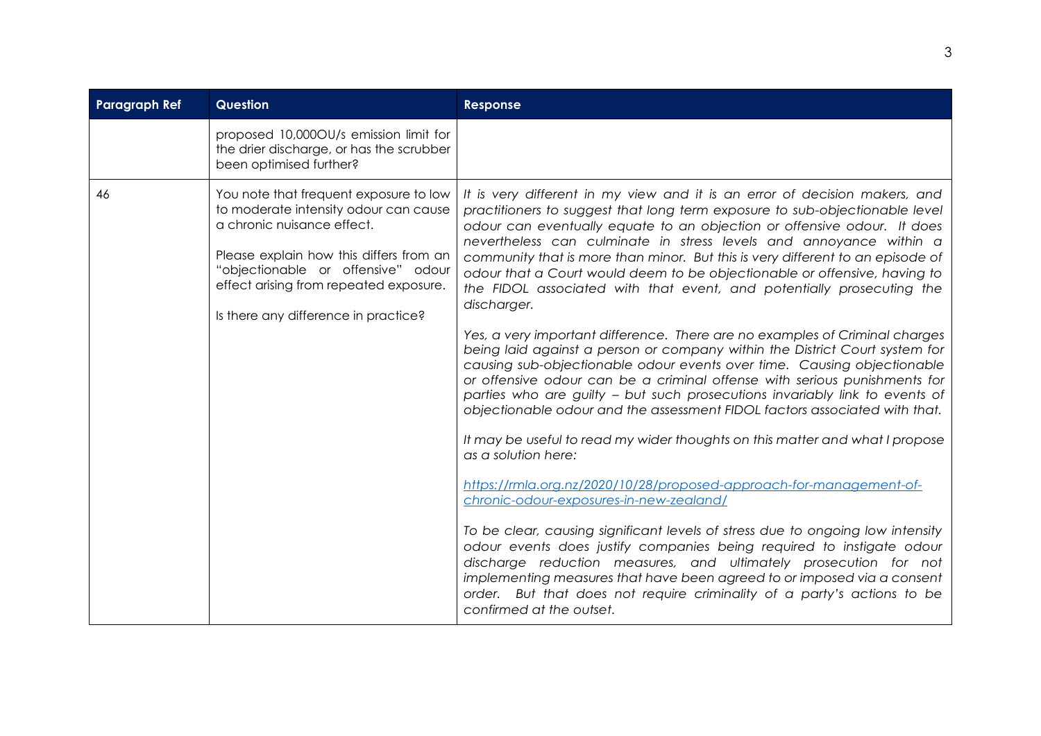| <b>Paragraph Ref</b> | <b>Question</b>                                                                                                                                                                                                                                                                  | <b>Response</b>                                                                                                                                                                                                                                                                                                                                                                                                                                                                                                                                                                                                                                                                                                                                                                                            |
|----------------------|----------------------------------------------------------------------------------------------------------------------------------------------------------------------------------------------------------------------------------------------------------------------------------|------------------------------------------------------------------------------------------------------------------------------------------------------------------------------------------------------------------------------------------------------------------------------------------------------------------------------------------------------------------------------------------------------------------------------------------------------------------------------------------------------------------------------------------------------------------------------------------------------------------------------------------------------------------------------------------------------------------------------------------------------------------------------------------------------------|
|                      | proposed 10,0000U/s emission limit for<br>the drier discharge, or has the scrubber<br>been optimised further?                                                                                                                                                                    |                                                                                                                                                                                                                                                                                                                                                                                                                                                                                                                                                                                                                                                                                                                                                                                                            |
| 46                   | You note that frequent exposure to low<br>to moderate intensity odour can cause<br>a chronic nuisance effect.<br>Please explain how this differs from an<br>"objectionable or offensive" odour<br>effect arising from repeated exposure.<br>Is there any difference in practice? | It is very different in my view and it is an error of decision makers, and<br>practitioners to suggest that long term exposure to sub-objectionable level<br>odour can eventually equate to an objection or offensive odour. It does<br>nevertheless can culminate in stress levels and annoyance within a<br>community that is more than minor. But this is very different to an episode of<br>odour that a Court would deem to be objectionable or offensive, having to<br>the FIDOL associated with that event, and potentially prosecuting the<br>discharger.<br>Yes, a very important difference. There are no examples of Criminal charges<br>being laid against a person or company within the District Court system for<br>causing sub-objectionable odour events over time. Causing objectionable |
|                      |                                                                                                                                                                                                                                                                                  | or offensive odour can be a criminal offense with serious punishments for<br>parties who are guilty - but such prosecutions invariably link to events of<br>objectionable odour and the assessment FIDOL factors associated with that.                                                                                                                                                                                                                                                                                                                                                                                                                                                                                                                                                                     |
|                      |                                                                                                                                                                                                                                                                                  | It may be useful to read my wider thoughts on this matter and what I propose<br>as a solution here:                                                                                                                                                                                                                                                                                                                                                                                                                                                                                                                                                                                                                                                                                                        |
|                      |                                                                                                                                                                                                                                                                                  | https://rmla.org.nz/2020/10/28/proposed-approach-for-management-of-<br>chronic-odour-exposures-in-new-zealand/                                                                                                                                                                                                                                                                                                                                                                                                                                                                                                                                                                                                                                                                                             |
|                      |                                                                                                                                                                                                                                                                                  | To be clear, causing significant levels of stress due to ongoing low intensity<br>odour events does justify companies being required to instigate odour<br>discharge reduction measures, and ultimately prosecution for not<br>implementing measures that have been agreed to or imposed via a consent<br>order. But that does not require criminality of a party's actions to be<br>confirmed at the outset.                                                                                                                                                                                                                                                                                                                                                                                              |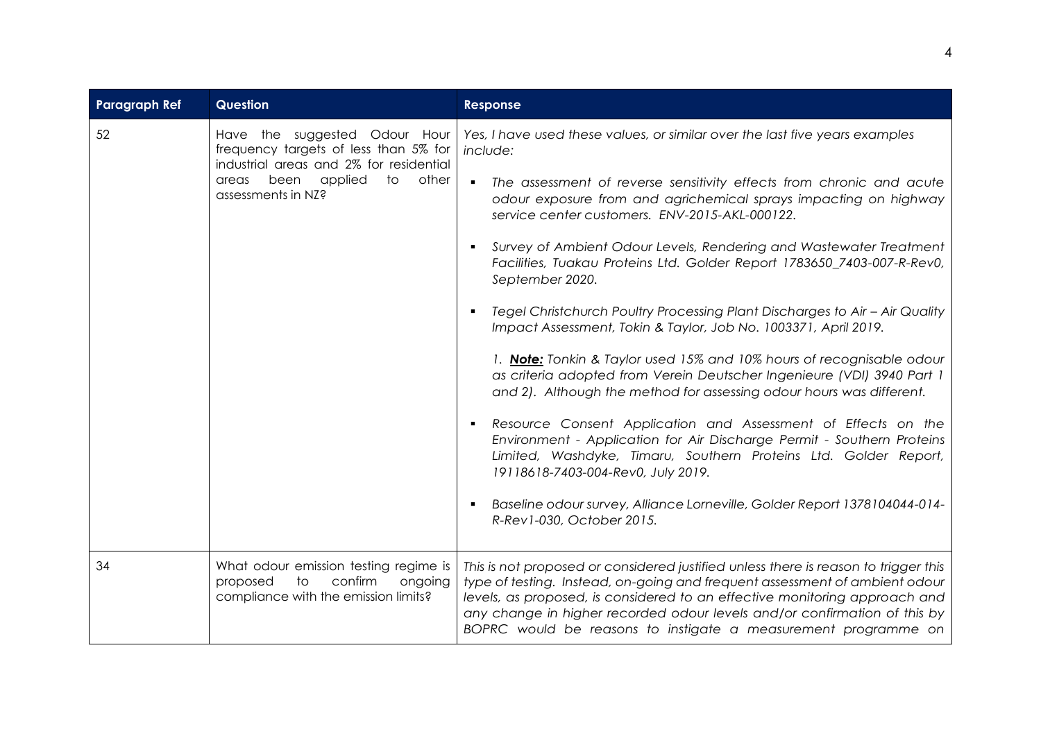| <b>Paragraph Ref</b> | <b>Question</b>                                                                                                                                                                    | Response                                                                                                                                                                                                                                                                                                                                                                                                                                                                                                                                                                                                                                                                                                                                                                                                                                                                                                                                                                                                                                                                                                                                                                                                                |
|----------------------|------------------------------------------------------------------------------------------------------------------------------------------------------------------------------------|-------------------------------------------------------------------------------------------------------------------------------------------------------------------------------------------------------------------------------------------------------------------------------------------------------------------------------------------------------------------------------------------------------------------------------------------------------------------------------------------------------------------------------------------------------------------------------------------------------------------------------------------------------------------------------------------------------------------------------------------------------------------------------------------------------------------------------------------------------------------------------------------------------------------------------------------------------------------------------------------------------------------------------------------------------------------------------------------------------------------------------------------------------------------------------------------------------------------------|
| 52                   | Have the suggested Odour Hour<br>frequency targets of less than 5% for<br>industrial areas and 2% for residential<br>been<br>applied<br>to<br>other<br>areas<br>assessments in NZ? | Yes, I have used these values, or similar over the last five years examples<br>include:<br>The assessment of reverse sensitivity effects from chronic and acute<br>$\blacksquare$<br>odour exposure from and agrichemical sprays impacting on highway<br>service center customers. ENV-2015-AKL-000122.<br>Survey of Ambient Odour Levels, Rendering and Wastewater Treatment<br>Facilities, Tuakau Proteins Ltd. Golder Report 1783650_7403-007-R-Rev0,<br>September 2020.<br>Tegel Christchurch Poultry Processing Plant Discharges to Air - Air Quality<br>Impact Assessment, Tokin & Taylor, Job No. 1003371, April 2019.<br>1. Note: Tonkin & Taylor used 15% and 10% hours of recognisable odour<br>as criteria adopted from Verein Deutscher Ingenieure (VDI) 3940 Part 1<br>and 2). Although the method for assessing odour hours was different.<br>Resource Consent Application and Assessment of Effects on the<br>Environment - Application for Air Discharge Permit - Southern Proteins<br>Limited, Washdyke, Timaru, Southern Proteins Ltd. Golder Report,<br>19118618-7403-004-Rev0, July 2019.<br>Baseline odour survey, Alliance Lorneville, Golder Report 1378104044-014-<br>R-Rev1-030, October 2015. |
| 34                   | What odour emission testing regime is<br>to<br>confirm<br>ongoing<br>proposed<br>compliance with the emission limits?                                                              | This is not proposed or considered justified unless there is reason to trigger this<br>type of testing. Instead, on-going and frequent assessment of ambient odour<br>levels, as proposed, is considered to an effective monitoring approach and<br>any change in higher recorded odour levels and/or confirmation of this by<br>BOPRC would be reasons to instigate a measurement programme on                                                                                                                                                                                                                                                                                                                                                                                                                                                                                                                                                                                                                                                                                                                                                                                                                         |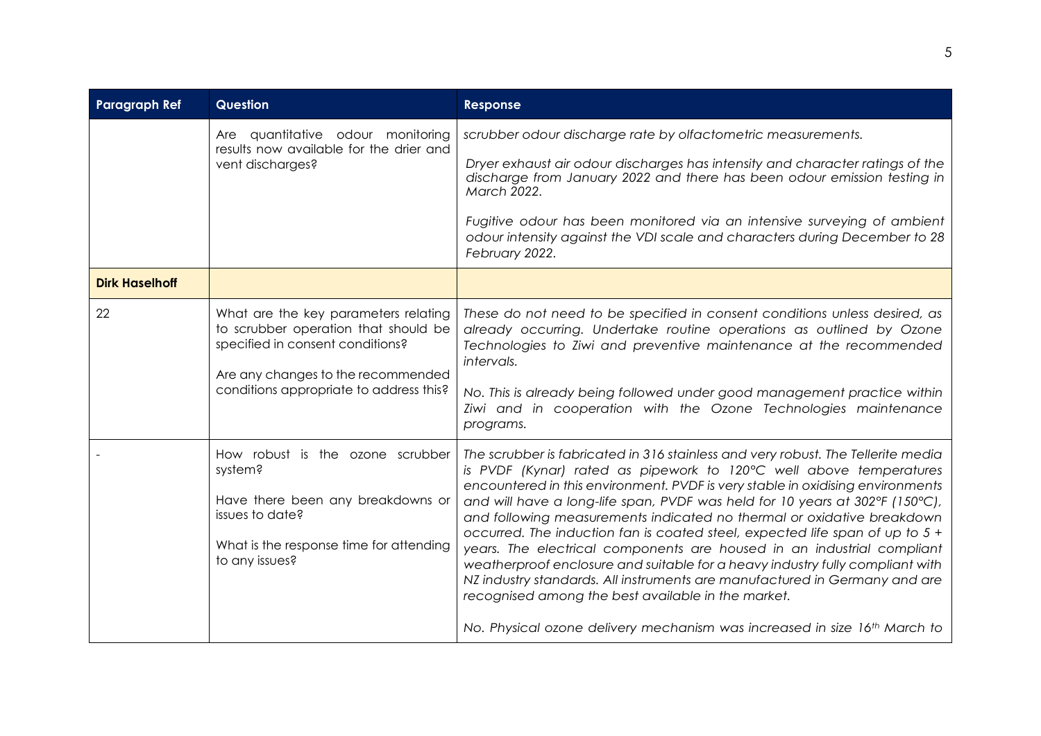| <b>Paragraph Ref</b>  | <b>Question</b>                                                                                                                                                                                   | Response                                                                                                                                                                                                                                                                                                                                                                                                                                                                                                                                                                                                                                                                                                                                                                                                                                                         |
|-----------------------|---------------------------------------------------------------------------------------------------------------------------------------------------------------------------------------------------|------------------------------------------------------------------------------------------------------------------------------------------------------------------------------------------------------------------------------------------------------------------------------------------------------------------------------------------------------------------------------------------------------------------------------------------------------------------------------------------------------------------------------------------------------------------------------------------------------------------------------------------------------------------------------------------------------------------------------------------------------------------------------------------------------------------------------------------------------------------|
|                       | Are quantitative odour monitoring<br>results now available for the drier and<br>vent discharges?                                                                                                  | scrubber odour discharge rate by olfactometric measurements.<br>Dryer exhaust air odour discharges has intensity and character ratings of the<br>discharge from January 2022 and there has been odour emission testing in<br>March 2022.<br>Fugitive odour has been monitored via an intensive surveying of ambient<br>odour intensity against the VDI scale and characters during December to 28<br>February 2022.                                                                                                                                                                                                                                                                                                                                                                                                                                              |
| <b>Dirk Haselhoff</b> |                                                                                                                                                                                                   |                                                                                                                                                                                                                                                                                                                                                                                                                                                                                                                                                                                                                                                                                                                                                                                                                                                                  |
| 22                    | What are the key parameters relating<br>to scrubber operation that should be<br>specified in consent conditions?<br>Are any changes to the recommended<br>conditions appropriate to address this? | These do not need to be specified in consent conditions unless desired, as<br>already occurring. Undertake routine operations as outlined by Ozone<br>Technologies to Ziwi and preventive maintenance at the recommended<br>intervals.<br>No. This is already being followed under good management practice within<br>Ziwi and in cooperation with the Ozone Technologies maintenance<br>programs.                                                                                                                                                                                                                                                                                                                                                                                                                                                               |
|                       | How robust is the ozone scrubber<br>system?<br>Have there been any breakdowns or<br>issues to date?<br>What is the response time for attending<br>to any issues?                                  | The scrubber is fabricated in 316 stainless and very robust. The Tellerite media<br>is PVDF (Kynar) rated as pipework to 120°C well above temperatures<br>encountered in this environment. PVDF is very stable in oxidising environments<br>and will have a long-life span, PVDF was held for 10 years at 302°F (150°C),<br>and following measurements indicated no thermal or oxidative breakdown<br>occurred. The induction fan is coated steel, expected life span of up to $5 +$<br>years. The electrical components are housed in an industrial compliant<br>weatherproof enclosure and suitable for a heavy industry fully compliant with<br>NZ industry standards. All instruments are manufactured in Germany and are<br>recognised among the best available in the market.<br>No. Physical ozone delivery mechanism was increased in size 16th March to |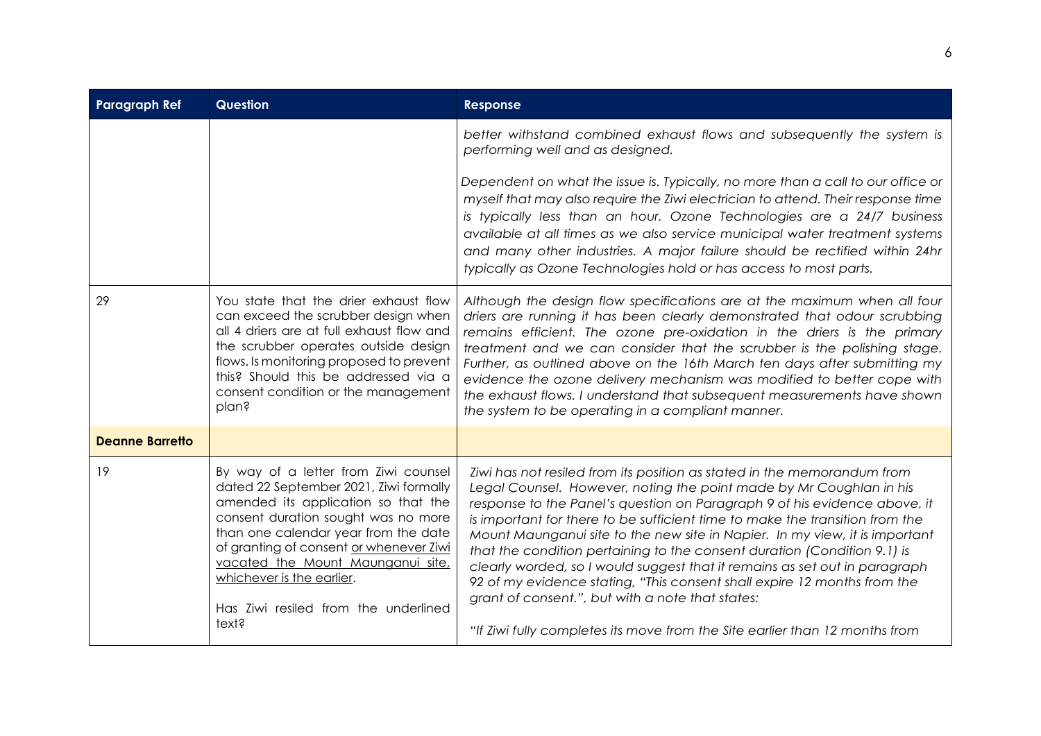| <b>Paragraph Ref</b>   | <b>Question</b>                                                                                                                                                                                                                                                                                                                                                    | Response                                                                                                                                                                                                                                                                                                                                                                                                                                                                                                                                                                                                                                                                                                                                                            |
|------------------------|--------------------------------------------------------------------------------------------------------------------------------------------------------------------------------------------------------------------------------------------------------------------------------------------------------------------------------------------------------------------|---------------------------------------------------------------------------------------------------------------------------------------------------------------------------------------------------------------------------------------------------------------------------------------------------------------------------------------------------------------------------------------------------------------------------------------------------------------------------------------------------------------------------------------------------------------------------------------------------------------------------------------------------------------------------------------------------------------------------------------------------------------------|
|                        |                                                                                                                                                                                                                                                                                                                                                                    | better withstand combined exhaust flows and subsequently the system is<br>performing well and as designed.                                                                                                                                                                                                                                                                                                                                                                                                                                                                                                                                                                                                                                                          |
|                        |                                                                                                                                                                                                                                                                                                                                                                    | Dependent on what the issue is. Typically, no more than a call to our office or<br>myself that may also require the Ziwi electrician to attend. Their response time<br>is typically less than an hour. Ozone Technologies are a 24/7 business<br>available at all times as we also service municipal water treatment systems<br>and many other industries. A major failure should be rectified within 24hr<br>typically as Ozone Technologies hold or has access to most parts.                                                                                                                                                                                                                                                                                     |
| 29                     | You state that the drier exhaust flow<br>can exceed the scrubber design when<br>all 4 driers are at full exhaust flow and<br>the scrubber operates outside design<br>flows. Is monitoring proposed to prevent<br>this? Should this be addressed via a<br>consent condition or the management<br>plan?                                                              | Although the design flow specifications are at the maximum when all four<br>driers are running it has been clearly demonstrated that odour scrubbing<br>remains efficient. The ozone pre-oxidation in the driers is the primary<br>treatment and we can consider that the scrubber is the polishing stage.<br>Further, as outlined above on the 16th March ten days after submitting my<br>evidence the ozone delivery mechanism was modified to better cope with<br>the exhaust flows. I understand that subsequent measurements have shown<br>the system to be operating in a compliant manner.                                                                                                                                                                   |
| <b>Deanne Barretto</b> |                                                                                                                                                                                                                                                                                                                                                                    |                                                                                                                                                                                                                                                                                                                                                                                                                                                                                                                                                                                                                                                                                                                                                                     |
| 19                     | By way of a letter from Ziwi counsel<br>dated 22 September 2021, Ziwi formally<br>amended its application so that the<br>consent duration sought was no more<br>than one calendar year from the date<br>of granting of consent or whenever Ziwi<br>vacated the Mount Maunganui site,<br>whichever is the earlier.<br>Has Ziwi resiled from the underlined<br>text? | Ziwi has not resiled from its position as stated in the memorandum from<br>Legal Counsel. However, noting the point made by Mr Coughlan in his<br>response to the Panel's question on Paragraph 9 of his evidence above, it<br>is important for there to be sufficient time to make the transition from the<br>Mount Maunganui site to the new site in Napier. In my view, it is important<br>that the condition pertaining to the consent duration (Condition 9.1) is<br>clearly worded, so I would suggest that it remains as set out in paragraph<br>92 of my evidence stating, "This consent shall expire 12 months from the<br>grant of consent.", but with a note that states:<br>"If Ziwi fully completes its move from the Site earlier than 12 months from |